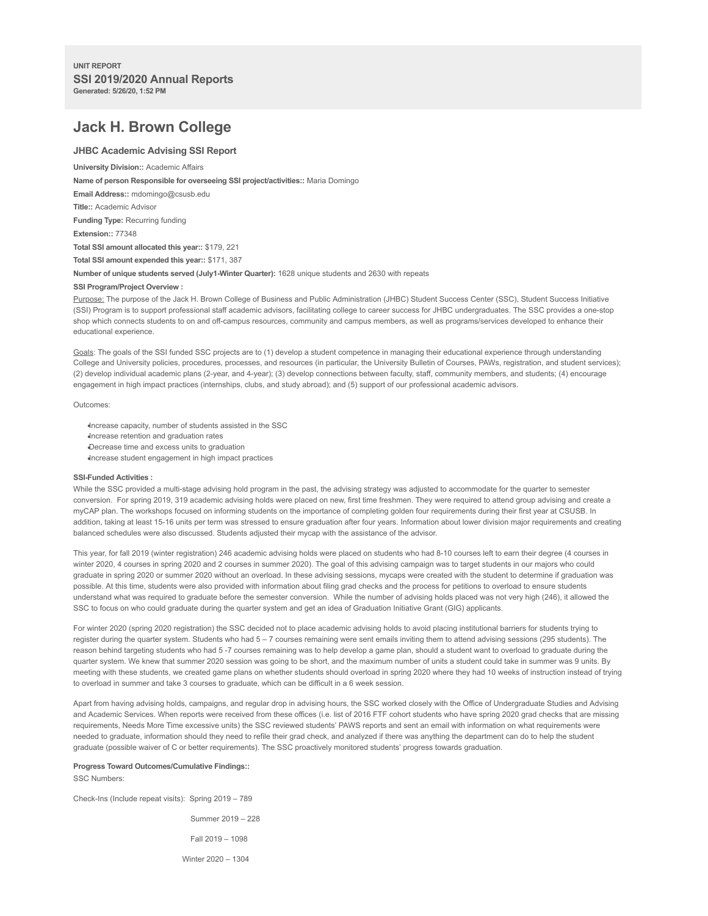# **Jack H. Brown College**

# **JHBC Academic Advising SSI Report**

**University Division::** Academic Affairs

**Name of person Responsible for overseeing SSI project/activities::** Maria Domingo

**Email Address::** mdomingo@csusb.edu

**Title::** Academic Advisor

**Funding Type:** Recurring funding

**Extension::** 77348

**Total SSI amount allocated this year::** \$179, 221

**Total SSI amount expended this year::** \$171, 387

**Number of unique students served (July1-Winter Quarter):** 1628 unique students and 2630 with repeats

### **SSI Program/Project Overview :**

Purpose: The purpose of the Jack H. Brown College of Business and Public Administration (JHBC) Student Success Center (SSC), Student Success Initiative (SSI) Program is to support professional staff academic advisors, facilitating college to career success for JHBC undergraduates. The SSC provides a one-stop shop which connects students to on and off-campus resources, community and campus members, as well as programs/services developed to enhance their educational experience.

Goals: The goals of the SSI funded SSC projects are to (1) develop a student competence in managing their educational experience through understanding College and University policies, procedures, processes, and resources (in particular, the University Bulletin of Courses, PAWs, registration, and student services); (2) develop individual academic plans (2-year, and 4-year); (3) develop connections between faculty, staff, community members, and students; (4) encourage engagement in high impact practices (internships, clubs, and study abroad); and (5) support of our professional academic advisors.

#### Outcomes:

Increase capacity, number of students assisted in the SSC Increase retention and graduation rates Decrease time and excess units to graduation Increase student engagement in high impact practices

## **SSI-Funded Activities :**

While the SSC provided a multi-stage advising hold program in the past, the advising strategy was adjusted to accommodate for the quarter to semester conversion. For spring 2019, 319 academic advising holds were placed on new, first time freshmen. They were required to attend group advising and create a myCAP plan. The workshops focused on informing students on the importance of completing golden four requirements during their first year at CSUSB. In addition, taking at least 15-16 units per term was stressed to ensure graduation after four years. Information about lower division major requirements and creating balanced schedules were also discussed. Students adjusted their mycap with the assistance of the advisor.

This year, for fall 2019 (winter registration) 246 academic advising holds were placed on students who had 8-10 courses left to earn their degree (4 courses in winter 2020, 4 courses in spring 2020 and 2 courses in summer 2020). The goal of this advising campaign was to target students in our majors who could graduate in spring 2020 or summer 2020 without an overload. In these advising sessions, mycaps were created with the student to determine if graduation was possible. At this time, students were also provided with information about filing grad checks and the process for petitions to overload to ensure students understand what was required to graduate before the semester conversion. While the number of advising holds placed was not very high (246), it allowed the SSC to focus on who could graduate during the quarter system and get an idea of Graduation Initiative Grant (GIG) applicants.

For winter 2020 (spring 2020 registration) the SSC decided not to place academic advising holds to avoid placing institutional barriers for students trying to register during the quarter system. Students who had 5 - 7 courses remaining were sent emails inviting them to attend advising sessions (295 students). The reason behind targeting students who had 5 -7 courses remaining was to help develop a game plan, should a student want to overload to graduate during the quarter system. We knew that summer 2020 session was going to be short, and the maximum number of units a student could take in summer was 9 units. By meeting with these students, we created game plans on whether students should overload in spring 2020 where they had 10 weeks of instruction instead of trying to overload in summer and take 3 courses to graduate, which can be difficult in a 6 week session.

Apart from having advising holds, campaigns, and regular drop in advising hours, the SSC worked closely with the Office of Undergraduate Studies and Advising and Academic Services. When reports were received from these offices (i.e. list of 2016 FTF cohort students who have spring 2020 grad checks that are missing requirements, Needs More Time excessive units) the SSC reviewed students' PAWS reports and sent an email with information on what requirements were needed to graduate, information should they need to refile their grad check, and analyzed if there was anything the department can do to help the student graduate (possible waiver of C or better requirements). The SSC proactively monitored students' progress towards graduation.

#### **Progress Toward Outcomes/Cumulative Findings::**

SSC Numbers:

Check-Ins (Include repeat visits): Spring 2019 – 789

Summer 2019 – 228 Fall 2019 – 1098 Winter 2020 – 1304